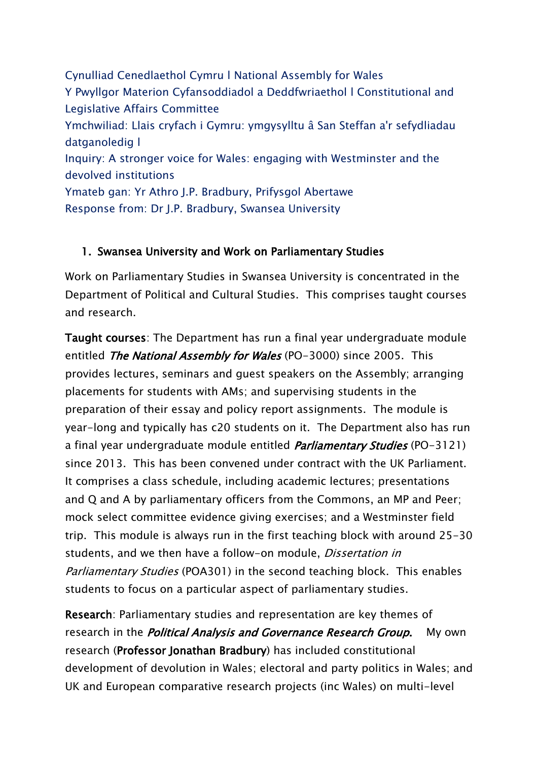Cynulliad Cenedlaethol Cymru l National Assembly for Wales Y Pwyllgor Materion Cyfansoddiadol a Deddfwriaethol l Constitutional and Legislative Affairs Committee Ymchwiliad: Llais cryfach i Gymru: ymgysylltu â San Steffan a'r sefydliadau datganoledig l Inquiry: A stronger voice for Wales: engaging with Westminster and the devolved institutions Ymateb gan: Yr Athro J.P. Bradbury, Prifysgol Abertawe Response from: Dr J.P. Bradbury, Swansea University

## 1. Swansea University and Work on Parliamentary Studies

Work on Parliamentary Studies in Swansea University is concentrated in the Department of Political and Cultural Studies. This comprises taught courses and research.

Taught courses: The Department has run a final year undergraduate module entitled *The National Assembly for Wales* (PO-3000) since 2005. This provides lectures, seminars and guest speakers on the Assembly; arranging placements for students with AMs; and supervising students in the preparation of their essay and policy report assignments. The module is year-long and typically has c20 students on it. The Department also has run a final year undergraduate module entitled *Parliamentary Studies* (PO-3121) since 2013. This has been convened under contract with the UK Parliament. It comprises a class schedule, including academic lectures; presentations and Q and A by parliamentary officers from the Commons, an MP and Peer; mock select committee evidence giving exercises; and a Westminster field trip. This module is always run in the first teaching block with around 25-30 students, and we then have a follow-on module, Dissertation in Parliamentary Studies (POA301) in the second teaching block. This enables students to focus on a particular aspect of parliamentary studies.

Research: Parliamentary studies and representation are key themes of research in the *Political Analysis and Governance Research Group*. My own research (Professor Jonathan Bradbury) has included constitutional development of devolution in Wales; electoral and party politics in Wales; and UK and European comparative research projects (inc Wales) on multi-level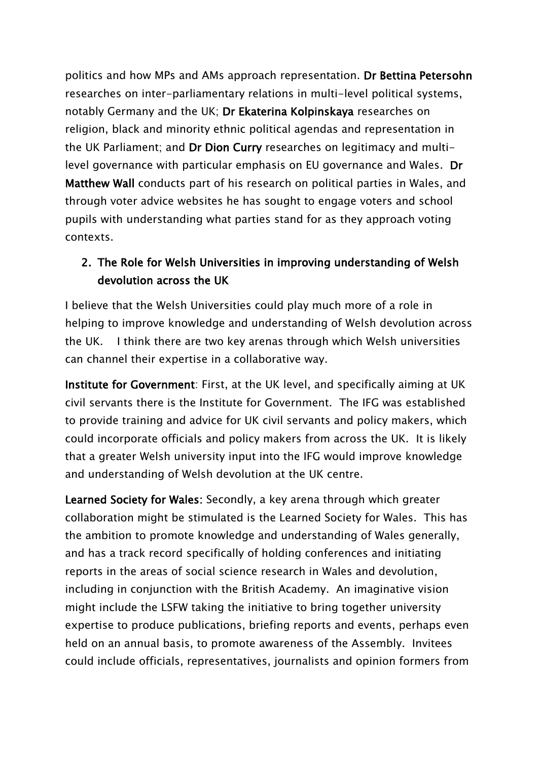politics and how MPs and AMs approach representation. Dr Bettina Petersohn researches on inter-parliamentary relations in multi-level political systems, notably Germany and the UK; Dr Ekaterina Kolpinskaya researches on religion, black and minority ethnic political agendas and representation in the UK Parliament; and Dr Dion Curry researches on legitimacy and multilevel governance with particular emphasis on EU governance and Wales. Dr Matthew Wall conducts part of his research on political parties in Wales, and through voter advice websites he has sought to engage voters and school pupils with understanding what parties stand for as they approach voting contexts.

## 2. The Role for Welsh Universities in improving understanding of Welsh devolution across the UK

I believe that the Welsh Universities could play much more of a role in helping to improve knowledge and understanding of Welsh devolution across the UK. I think there are two key arenas through which Welsh universities can channel their expertise in a collaborative way.

Institute for Government: First, at the UK level, and specifically aiming at UK civil servants there is the Institute for Government. The IFG was established to provide training and advice for UK civil servants and policy makers, which could incorporate officials and policy makers from across the UK. It is likely that a greater Welsh university input into the IFG would improve knowledge and understanding of Welsh devolution at the UK centre.

Learned Society for Wales: Secondly, a key arena through which greater collaboration might be stimulated is the Learned Society for Wales. This has the ambition to promote knowledge and understanding of Wales generally, and has a track record specifically of holding conferences and initiating reports in the areas of social science research in Wales and devolution, including in conjunction with the British Academy. An imaginative vision might include the LSFW taking the initiative to bring together university expertise to produce publications, briefing reports and events, perhaps even held on an annual basis, to promote awareness of the Assembly. Invitees could include officials, representatives, journalists and opinion formers from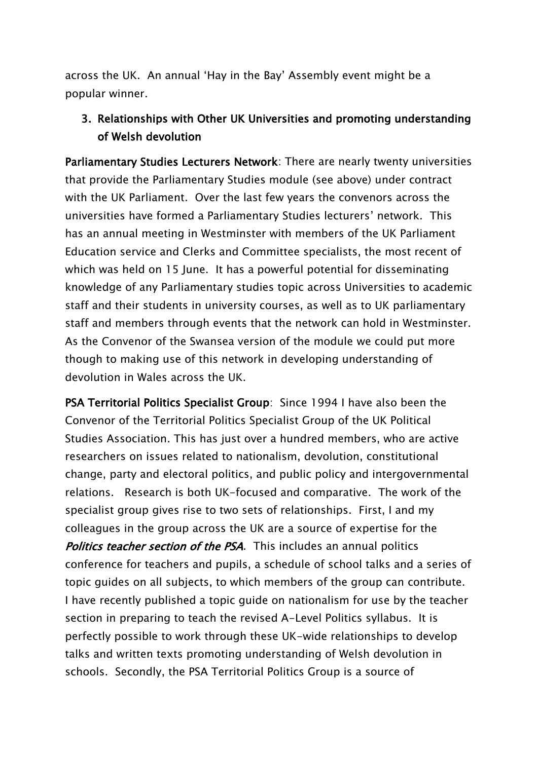across the UK. An annual 'Hay in the Bay' Assembly event might be a popular winner.

## 3. Relationships with Other UK Universities and promoting understanding of Welsh devolution

Parliamentary Studies Lecturers Network: There are nearly twenty universities that provide the Parliamentary Studies module (see above) under contract with the UK Parliament. Over the last few years the convenors across the universities have formed a Parliamentary Studies lecturers' network. This has an annual meeting in Westminster with members of the UK Parliament Education service and Clerks and Committee specialists, the most recent of which was held on 15 June. It has a powerful potential for disseminating knowledge of any Parliamentary studies topic across Universities to academic staff and their students in university courses, as well as to UK parliamentary staff and members through events that the network can hold in Westminster. As the Convenor of the Swansea version of the module we could put more though to making use of this network in developing understanding of devolution in Wales across the UK.

PSA Territorial Politics Specialist Group: Since 1994 I have also been the Convenor of the Territorial Politics Specialist Group of the UK Political Studies Association. This has just over a hundred members, who are active researchers on issues related to nationalism, devolution, constitutional change, party and electoral politics, and public policy and intergovernmental relations. Research is both UK-focused and comparative. The work of the specialist group gives rise to two sets of relationships. First, I and my colleagues in the group across the UK are a source of expertise for the **Politics teacher section of the PSA.** This includes an annual politics conference for teachers and pupils, a schedule of school talks and a series of topic guides on all subjects, to which members of the group can contribute. I have recently published a topic guide on nationalism for use by the teacher section in preparing to teach the revised A-Level Politics syllabus. It is perfectly possible to work through these UK-wide relationships to develop talks and written texts promoting understanding of Welsh devolution in schools. Secondly, the PSA Territorial Politics Group is a source of